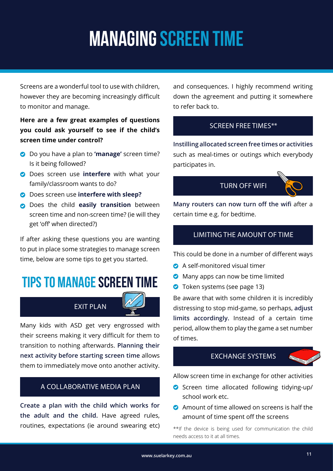# MANAGING SCREEN TIME

Screens are a wonderful tool to use with children, however they are becoming increasingly difficult to monitor and manage.

### **Here are a few great examples of questions you could ask yourself to see if the child's screen time under control?**

- Do you have a plan to **'manage'** screen time? Is it being followed?
- **O** Does screen use **interfere** with what your family/classroom wants to do?
- Does screen use **interfere with sleep?**
- **O** Does the child **easily transition** between screen time and non-screen time? (ie will they get 'off' when directed?)

If after asking these questions you are wanting to put in place some strategies to manage screen time, below are some tips to get you started.

### Tips to Manage Screen Time

### **FXIT PLAN**

Many kids with ASD get very engrossed with their screens making it very difficult for them to transition to nothing afterwards. **Planning their next activity before starting screen time** allows them to immediately move onto another activity.

#### A COLLABORATIVE MEDIA PLAN

**Create a plan with the child which works for the adult and the child.** Have agreed rules, routines, expectations (ie around swearing etc) and consequences. I highly recommend writing down the agreement and putting it somewhere to refer back to.

#### SCREEN FREE TIMES\*\*

**Instilling allocated screen free times or activities**  such as meal-times or outings which everybody participates in.





**Many routers can now turn off the wifi** after a certain time e.g. for bedtime.

#### LIMITING THE AMOUNT OF TIME

This could be done in a number of different ways

- **C** A self-monitored visual timer
- **O** Many apps can now be time limited
- **O** Token systems (see page 13)

Be aware that with some children it is incredibly distressing to stop mid-game, so perhaps, **adjust limits accordingly.** Instead of a certain time period, allow them to play the game a set number of times.

#### EXCHANGE SYSTEMS



Allow screen time in exchange for other activities

- Screen time allocated following tidying-up/ school work etc.
- **2** Amount of time allowed on screens is half the amount of time spent off the screens

\*\*If the device is being used for communication the child needs access to it at all times.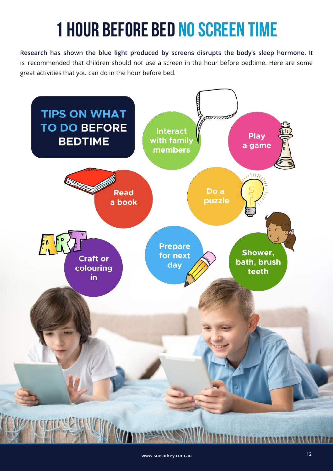# 1 hour before bed no screen time

**Research has shown the blue light produced by screens disrupts the body's sleep hormone.** It is recommended that children should not use a screen in the hour before bedtime. Here are some great activities that you can do in the hour before bed.